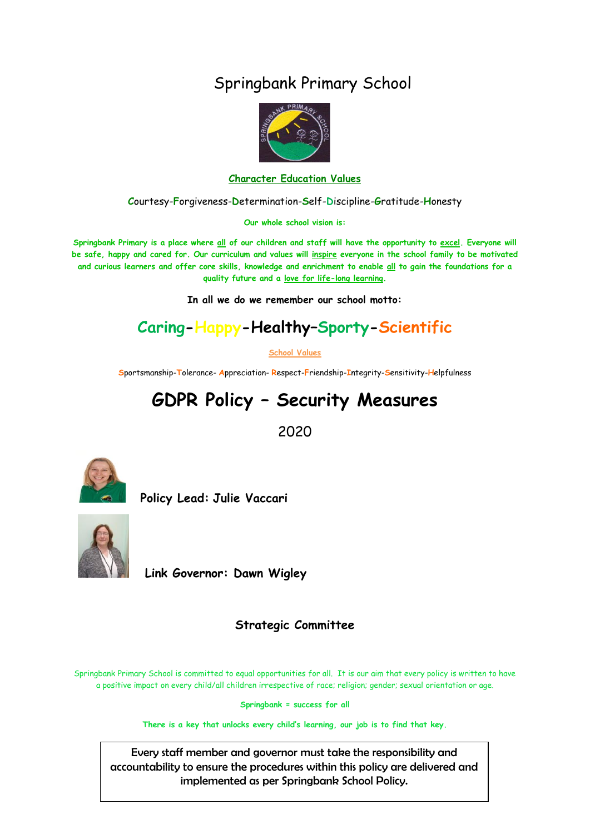# Springbank Primary School



#### **Character Education Values**

**C**ourtesy-**F**orgiveness-**D**etermination-**S**elf-**D**iscipline-**G**ratitude-**H**onesty

**Our whole school vision is:**

**Springbank Primary is a place where all of our children and staff will have the opportunity to excel. Everyone will be safe, happy and cared for. Our curriculum and values will inspire everyone in the school family to be motivated and curious learners and offer core skills, knowledge and enrichment to enable all to gain the foundations for a quality future and a love for life-long learning.**

**In all we do we remember our school motto:**

# **Caring-Happy-Healthy–Sporty-Scientific**

**School Values**

**S**portsmanship-**T**olerance- **A**ppreciation- **R**espect-**F**riendship-**I**ntegrity-**S**ensitivity-**H**elpfulness

# **GDPR Policy – Security Measures**

2020



 **Policy Lead: Julie Vaccari**



**Link Governor: Dawn Wigley** 

## **Strategic Committee**

Springbank Primary School is committed to equal opportunities for all. It is our aim that every policy is written to have a positive impact on every child/all children irrespective of race; religion; gender; sexual orientation or age.

**Springbank = success for all**

**There is a key that unlocks every child's learning, our job is to find that key.**

Every staff member and governor must take the responsibility and accountability to ensure the procedures within this policy are delivered and implemented as per Springbank School Policy.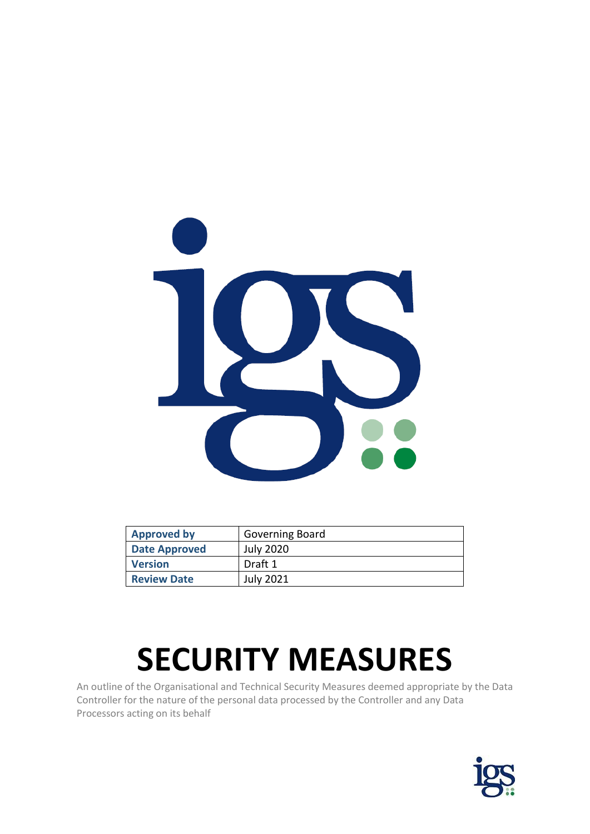

| <b>Approved by</b>   | Governing Board  |
|----------------------|------------------|
| <b>Date Approved</b> | <b>July 2020</b> |
| <b>Version</b>       | Draft 1          |
| <b>Review Date</b>   | <b>July 2021</b> |

# **SECURITY MEASURES**

An outline of the Organisational and Technical Security Measures deemed appropriate by the Data Controller for the nature of the personal data processed by the Controller and any Data Processors acting on its behalf

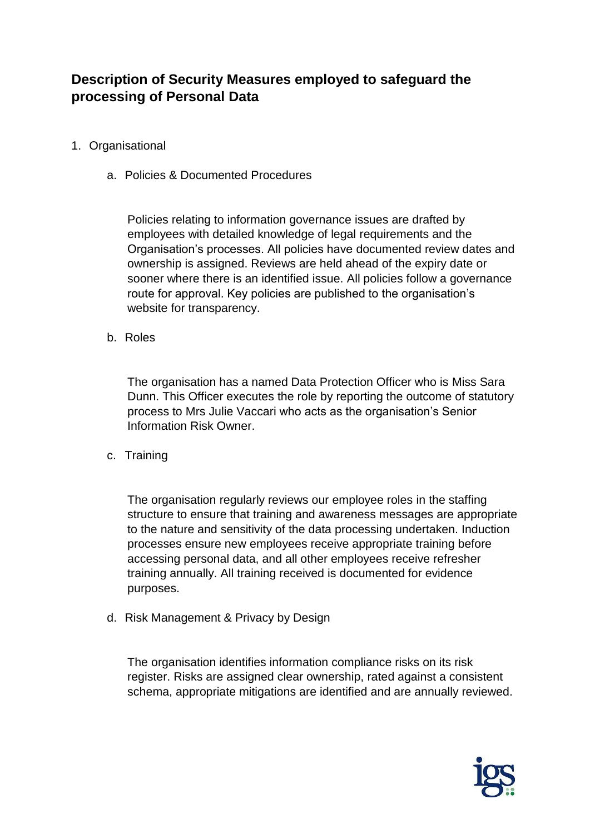# **Description of Security Measures employed to safeguard the processing of Personal Data**

- 1. Organisational
	- a. Policies & Documented Procedures

Policies relating to information governance issues are drafted by employees with detailed knowledge of legal requirements and the Organisation's processes. All policies have documented review dates and ownership is assigned. Reviews are held ahead of the expiry date or sooner where there is an identified issue. All policies follow a governance route for approval. Key policies are published to the organisation's website for transparency.

b. Roles

The organisation has a named Data Protection Officer who is Miss Sara Dunn. This Officer executes the role by reporting the outcome of statutory process to Mrs Julie Vaccari who acts as the organisation's Senior Information Risk Owner.

c. Training

The organisation regularly reviews our employee roles in the staffing structure to ensure that training and awareness messages are appropriate to the nature and sensitivity of the data processing undertaken. Induction processes ensure new employees receive appropriate training before accessing personal data, and all other employees receive refresher training annually. All training received is documented for evidence purposes.

d. Risk Management & Privacy by Design

The organisation identifies information compliance risks on its risk register. Risks are assigned clear ownership, rated against a consistent schema, appropriate mitigations are identified and are annually reviewed.

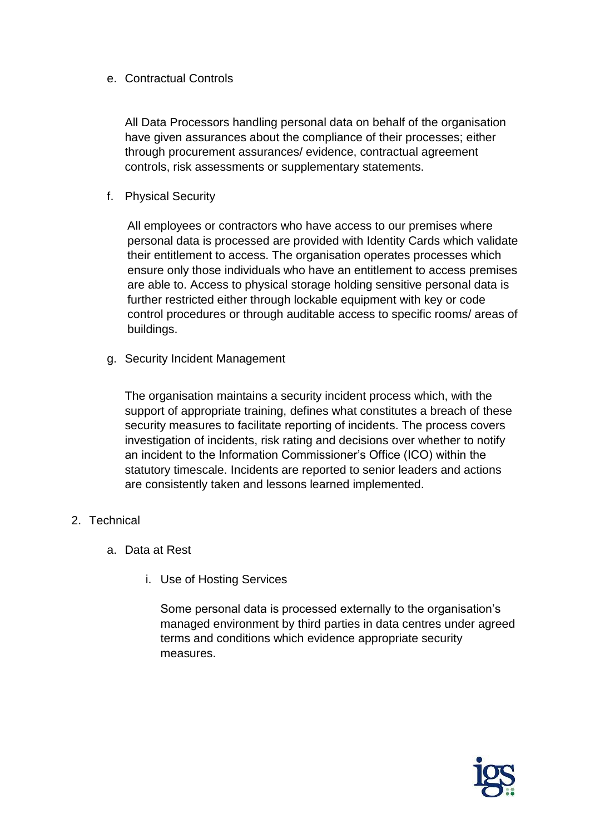## e. Contractual Controls

All Data Processors handling personal data on behalf of the organisation have given assurances about the compliance of their processes; either through procurement assurances/ evidence, contractual agreement controls, risk assessments or supplementary statements.

f. Physical Security

All employees or contractors who have access to our premises where personal data is processed are provided with Identity Cards which validate their entitlement to access. The organisation operates processes which ensure only those individuals who have an entitlement to access premises are able to. Access to physical storage holding sensitive personal data is further restricted either through lockable equipment with key or code control procedures or through auditable access to specific rooms/ areas of buildings.

g. Security Incident Management

The organisation maintains a security incident process which, with the support of appropriate training, defines what constitutes a breach of these security measures to facilitate reporting of incidents. The process covers investigation of incidents, risk rating and decisions over whether to notify an incident to the Information Commissioner's Office (ICO) within the statutory timescale. Incidents are reported to senior leaders and actions are consistently taken and lessons learned implemented.

- 2. Technical
	- a. Data at Rest
		- i. Use of Hosting Services

Some personal data is processed externally to the organisation's managed environment by third parties in data centres under agreed terms and conditions which evidence appropriate security measures.

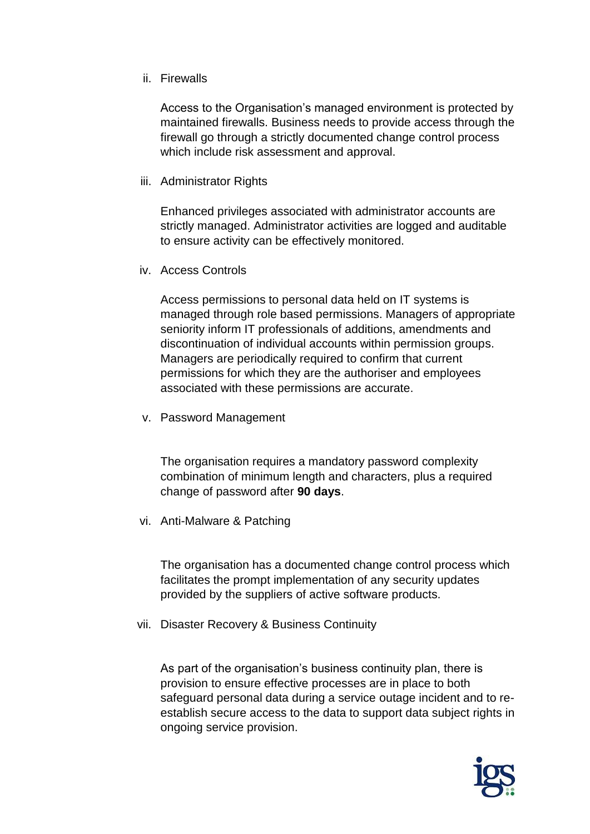### ii. Firewalls

Access to the Organisation's managed environment is protected by maintained firewalls. Business needs to provide access through the firewall go through a strictly documented change control process which include risk assessment and approval.

iii. Administrator Rights

Enhanced privileges associated with administrator accounts are strictly managed. Administrator activities are logged and auditable to ensure activity can be effectively monitored.

iv. Access Controls

Access permissions to personal data held on IT systems is managed through role based permissions. Managers of appropriate seniority inform IT professionals of additions, amendments and discontinuation of individual accounts within permission groups. Managers are periodically required to confirm that current permissions for which they are the authoriser and employees associated with these permissions are accurate.

v. Password Management

The organisation requires a mandatory password complexity combination of minimum length and characters, plus a required change of password after **90 days**.

vi. Anti-Malware & Patching

The organisation has a documented change control process which facilitates the prompt implementation of any security updates provided by the suppliers of active software products.

vii. Disaster Recovery & Business Continuity

As part of the organisation's business continuity plan, there is provision to ensure effective processes are in place to both safeguard personal data during a service outage incident and to reestablish secure access to the data to support data subject rights in ongoing service provision.